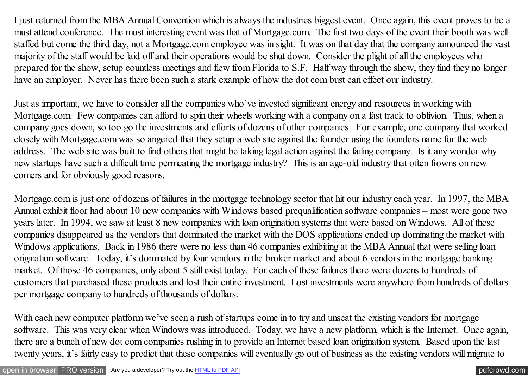I just returned from the MBA Annual Convention which is always the industries biggest event. Once again, this event proves to be a must attend conference. The most interesting event was that of Mortgage.com. The first two days of the event their booth was well staffed but come the third day, not a Mortgage.com employee was in sight. It was on that day that the company announced the vast majority of the staff would be laid off and their operations would be shut down. Consider the plight of all the employees who prepared for the show, setup countless meetings and flew from Florida to S.F. Half way through the show, they find they no longer have an employer. Never has there been such a stark example of how the dot com bust can effect our industry.

Just as important, we have to consider all the companies who've invested significant energy and resources in working with Mortgage.com. Few companies can afford to spin their wheels working with a company on a fast track to oblivion. Thus, when a company goes down, so too go the investments and efforts of dozens of other companies. For example, one company that worked closely with Mortgage.com was so angered that they setup a web site against the founder using the founders name for the web address. The web site was built to find others that might be taking legal action against the failing company. Is it any wonder why new startups have such a difficult time permeating the mortgage industry? This is an age-old industry that often frowns on new comers and for obviously good reasons.

Mortgage.com is just one of dozens of failures in the mortgage technology sector that hit our industry each year. In 1997, the MBA Annual exhibit floor had about 10 new companies with Windows based prequalification software companies – most were gone two years later. In 1994, we saw at least 8 new companies with loan origination systems that were based on Windows. All of these companies disappeared as the vendors that dominated the market with the DOS applications ended up dominating the market with Windows applications. Back in 1986 there were no less than 46 companies exhibiting at the MBA Annual that were selling loan origination software. Today, it's dominated by four vendors in the broker market and about 6 vendors in the mortgage banking market. Of those 46 companies, only about 5 still exist today. For each of these failures there were dozens to hundreds of customers that purchased these products and lost their entire investment. Lost investments were anywhere from hundreds of dollars per mortgage company to hundreds of thousands of dollars.

With each new computer platform we've seen a rush of startups come in to try and unseat the existing vendors for mortgage software. This was very clear when Windows was introduced. Today, we have a new platform, which is the Internet. Once again, there are a bunch of new dot com companies rushing in to provide an Internet based loan origination system. Based upon the last twenty years, it's fairly easy to predict that these companies will eventually go out of business as the existing vendors will migrate to